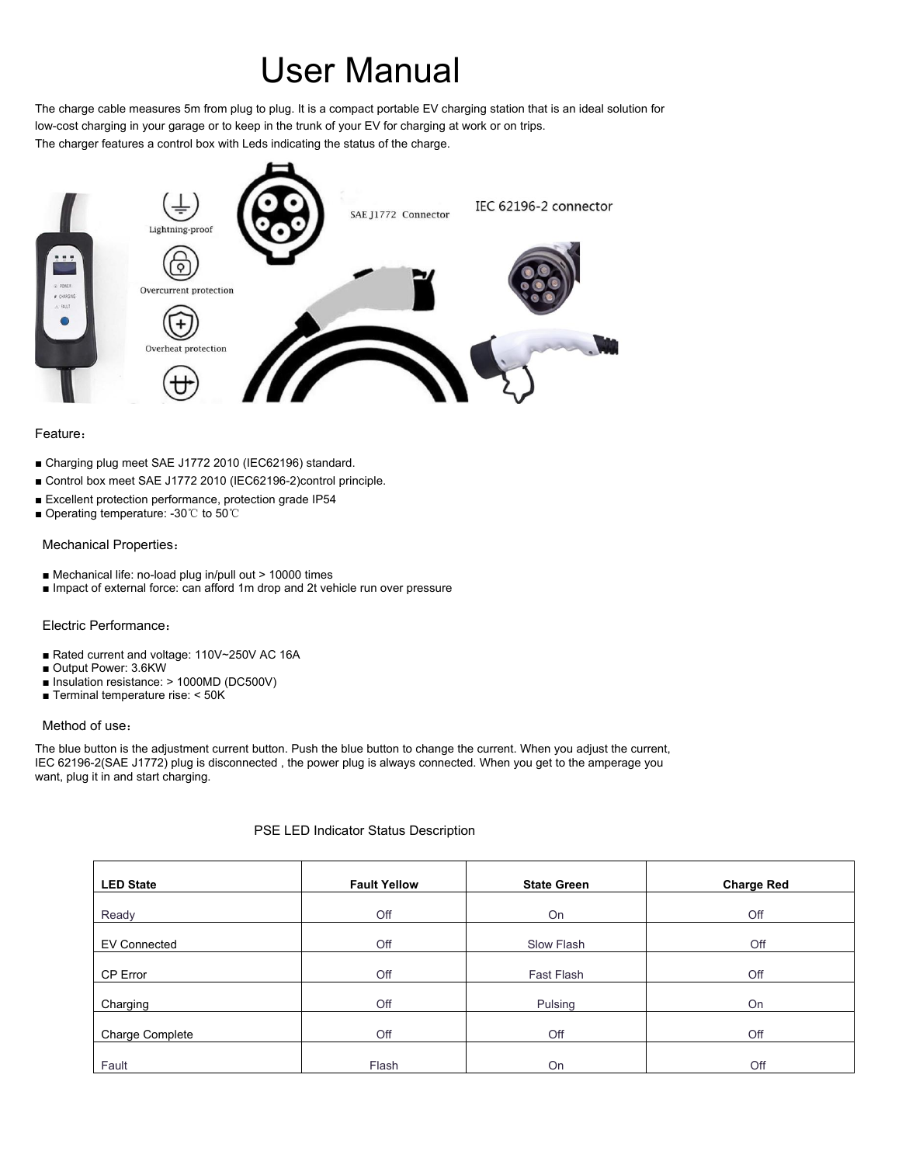# User Manual

The charge cable measures 5m from plug to plug. It is a compact portable EV charging station that is an ideal solution for low-cost charging in your garage or to keep in the trunk of your EV for charging at work or on trips. The charger features a control box with Leds indicating the status of the charge.



## Feature:

- Charging plug meet SAE J1772 2010 (IEC62196) standard.
- Control box meet SAE J1772 2010 (IEC62196-2)control principle.
- Excellent protection performance, protection grade IP54
- Operating temperature: -30℃ to 50℃

## Mechanical Properties:

- Mechanical life: no-load plug in/pull out > 10000 times
- Impact of external force: can afford 1m drop and 2t vehicle run over pressure

## Electric Performance:

■ Rated current and voltage: 110V~250V AC 16A ■ Output Power: 3.6KW ■ Insulation resistance: > 1000MD (DC500V) **Terminal temperature rise:**  $<$  **50K)** 

Method of use:

The blue button is the adjustment current button. Push the blue button to change the current. When you adjust the current, IEC 62196-2(SAE J1772) plug is disconnected, the power plug is always connected. When you get to the amperage you want, plug it in and start charging.

## PSE LED Indicator Status Description

| <b>LED State</b>       | <b>Fault Yellow</b> | <b>State Green</b> | <b>Charge Red</b> |
|------------------------|---------------------|--------------------|-------------------|
| Ready                  | Off                 | On                 | Off               |
|                        |                     |                    |                   |
| <b>EV Connected</b>    | Off                 | <b>Slow Flash</b>  | Off               |
|                        |                     |                    |                   |
| <b>CP Error</b>        | Off                 | <b>Fast Flash</b>  | Off               |
|                        |                     |                    |                   |
| Charging               | Off                 | Pulsing            | On                |
|                        |                     |                    |                   |
| <b>Charge Complete</b> | Off                 | Off                | Off               |
|                        |                     |                    |                   |
| Fault                  | Flash               | On                 | Off               |